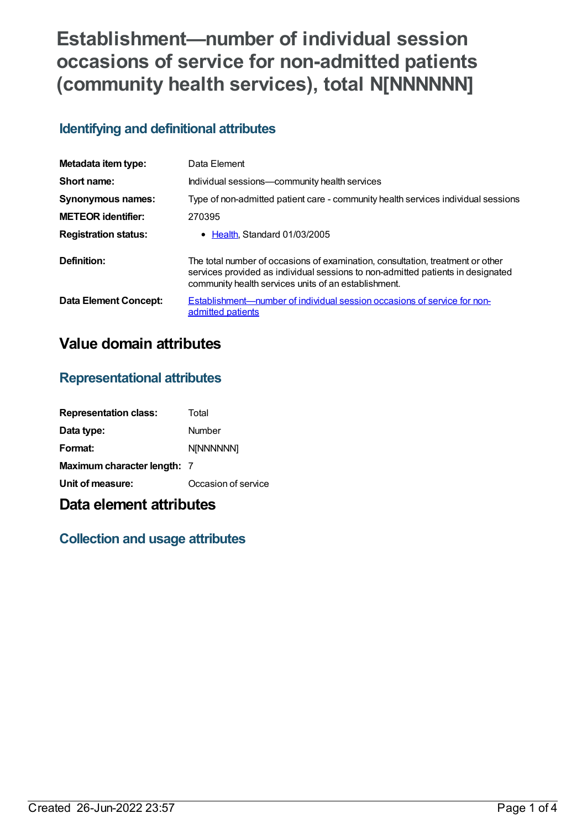# **Establishment—number of individual session occasions of service for non-admitted patients (community health services), total N[NNNNNN]**

### **Identifying and definitional attributes**

| Metadata item type:         | Data Element                                                                                                                                                                                                              |
|-----------------------------|---------------------------------------------------------------------------------------------------------------------------------------------------------------------------------------------------------------------------|
| Short name:                 | Individual sessions-community health services                                                                                                                                                                             |
| <b>Synonymous names:</b>    | Type of non-admitted patient care - community health services individual sessions                                                                                                                                         |
| <b>METEOR</b> identifier:   | 270395                                                                                                                                                                                                                    |
| <b>Registration status:</b> | • Health, Standard 01/03/2005                                                                                                                                                                                             |
| Definition:                 | The total number of occasions of examination, consultation, treatment or other<br>services provided as individual sessions to non-admitted patients in designated<br>community health services units of an establishment. |
| Data Element Concept:       | Establishment—number of individual session occasions of service for non-<br>admitted patients                                                                                                                             |

# **Value domain attributes**

#### **Representational attributes**

| <b>Representation class:</b> | Total               |
|------------------------------|---------------------|
| Data type:                   | Number              |
| Format:                      | <b>N[NNNNNN]</b>    |
| Maximum character length: 7  |                     |
| Unit of measure:             | Occasion of service |

# **Data element attributes**

## **Collection and usage attributes**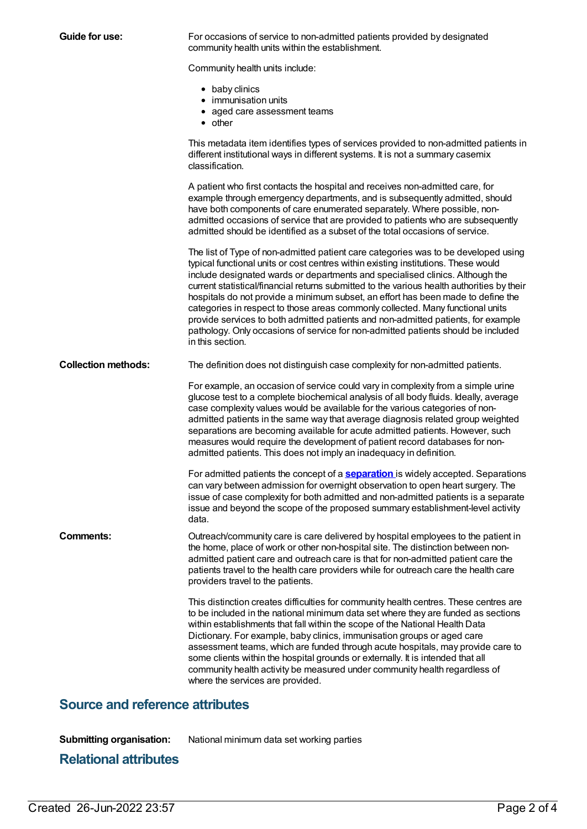| <b>Guide for use:</b>      | For occasions of service to non-admitted patients provided by designated<br>community health units within the establishment.                                                                                                                                                                                                                                                                                                                                                                                                                                                                                                                                                                                                |
|----------------------------|-----------------------------------------------------------------------------------------------------------------------------------------------------------------------------------------------------------------------------------------------------------------------------------------------------------------------------------------------------------------------------------------------------------------------------------------------------------------------------------------------------------------------------------------------------------------------------------------------------------------------------------------------------------------------------------------------------------------------------|
|                            | Community health units include:                                                                                                                                                                                                                                                                                                                                                                                                                                                                                                                                                                                                                                                                                             |
|                            | • baby clinics<br>• immunisation units<br>• aged care assessment teams<br>$\bullet$ other                                                                                                                                                                                                                                                                                                                                                                                                                                                                                                                                                                                                                                   |
|                            | This metadata item identifies types of services provided to non-admitted patients in<br>different institutional ways in different systems. It is not a summary casemix<br>classification.                                                                                                                                                                                                                                                                                                                                                                                                                                                                                                                                   |
|                            | A patient who first contacts the hospital and receives non-admitted care, for<br>example through emergency departments, and is subsequently admitted, should<br>have both components of care enumerated separately. Where possible, non-<br>admitted occasions of service that are provided to patients who are subsequently<br>admitted should be identified as a subset of the total occasions of service.                                                                                                                                                                                                                                                                                                                |
|                            | The list of Type of non-admitted patient care categories was to be developed using<br>typical functional units or cost centres within existing institutions. These would<br>include designated wards or departments and specialised clinics. Although the<br>current statistical/financial returns submitted to the various health authorities by their<br>hospitals do not provide a minimum subset, an effort has been made to define the<br>categories in respect to those areas commonly collected. Many functional units<br>provide services to both admitted patients and non-admitted patients, for example<br>pathology. Only occasions of service for non-admitted patients should be included<br>in this section. |
| <b>Collection methods:</b> | The definition does not distinguish case complexity for non-admitted patients.                                                                                                                                                                                                                                                                                                                                                                                                                                                                                                                                                                                                                                              |
|                            | For example, an occasion of service could vary in complexity from a simple urine<br>glucose test to a complete biochemical analysis of all body fluids. Ideally, average<br>case complexity values would be available for the various categories of non-<br>admitted patients in the same way that average diagnosis related group weighted<br>separations are becoming available for acute admitted patients. However, such<br>measures would require the development of patient record databases for non-<br>admitted patients. This does not imply an inadequacy in definition.                                                                                                                                          |
|                            | For admitted patients the concept of a <b>separation</b> is widely accepted. Separations<br>can vary between admission for overnight observation to open heart surgery. The<br>issue of case complexity for both admitted and non-admitted patients is a separate<br>issue and beyond the scope of the proposed summary establishment-level activity<br>data.                                                                                                                                                                                                                                                                                                                                                               |
| <b>Comments:</b>           | Outreach/community care is care delivered by hospital employees to the patient in<br>the home, place of work or other non-hospital site. The distinction between non-<br>admitted patient care and outreach care is that for non-admitted patient care the<br>patients travel to the health care providers while for outreach care the health care<br>providers travel to the patients.                                                                                                                                                                                                                                                                                                                                     |
|                            | This distinction creates difficulties for community health centres. These centres are<br>to be included in the national minimum data set where they are funded as sections<br>within establishments that fall within the scope of the National Health Data<br>Dictionary. For example, baby clinics, immunisation groups or aged care<br>assessment teams, which are funded through acute hospitals, may provide care to<br>some clients within the hospital grounds or externally. It is intended that all<br>community health activity be measured under community health regardless of<br>where the services are provided.                                                                                               |

## **Source and reference attributes**

**Submitting organisation:** National minimum data set working parties

# **Relational attributes**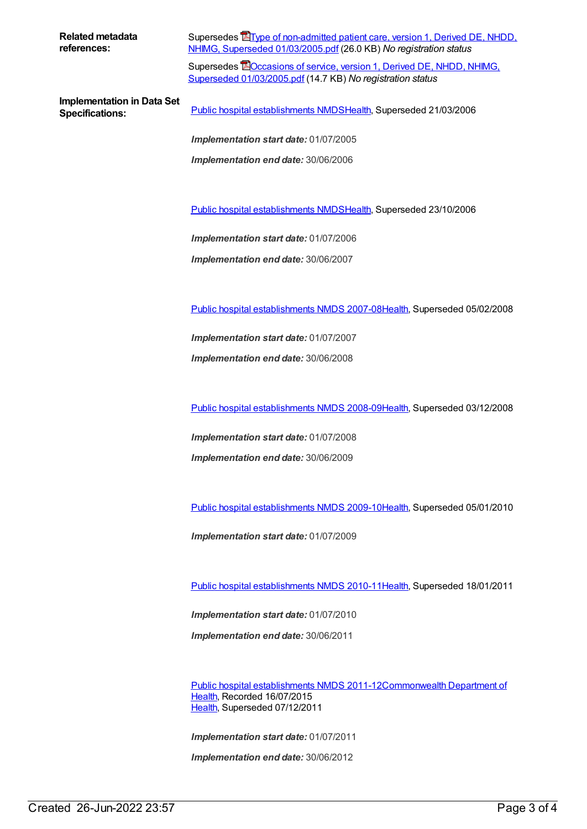**Related metadata references:**

Supersedes Tippe of non-admitted patient care, version 1, Derived DE, NHDD, NHIMG, Superseded [01/03/2005.pdf](https://meteor.aihw.gov.au/content/273195) (26.0 KB) *No registration status*

Supersedes **EOccasions of service, version 1, Derived DE, NHDD, NHIMG,** Superseded [01/03/2005.pdf](https://meteor.aihw.gov.au/content/273190) (14.7 KB) *No registration status*

**Implementation in Data Set**

**Specifications:** Public hospital [establishments](https://meteor.aihw.gov.au/content/273047) NMDS[Health](https://meteor.aihw.gov.au/RegistrationAuthority/12), Superseded 21/03/2006

*Implementation start date:* 01/07/2005 *Implementation end date:* 30/06/2006

Public hospital [establishments](https://meteor.aihw.gov.au/content/334285) NMDS[Health](https://meteor.aihw.gov.au/RegistrationAuthority/12), Superseded 23/10/2006

*Implementation start date:* 01/07/2006

*Implementation end date:* 30/06/2007

Public hospital [establishments](https://meteor.aihw.gov.au/content/345139) NMDS 2007-08[Health](https://meteor.aihw.gov.au/RegistrationAuthority/12), Superseded 05/02/2008

*Implementation start date:* 01/07/2007

*Implementation end date:* 30/06/2008

Public hospital [establishments](https://meteor.aihw.gov.au/content/362302) NMDS 2008-09[Health](https://meteor.aihw.gov.au/RegistrationAuthority/12), Superseded 03/12/2008

*Implementation start date:* 01/07/2008

*Implementation end date:* 30/06/2009

Public hospital [establishments](https://meteor.aihw.gov.au/content/374924) NMDS 2009-10[Health](https://meteor.aihw.gov.au/RegistrationAuthority/12), Superseded 05/01/2010

*Implementation start date:* 01/07/2009

Public hospital [establishments](https://meteor.aihw.gov.au/content/386794) NMDS 2010-11[Health](https://meteor.aihw.gov.au/RegistrationAuthority/12), Superseded 18/01/2011

*Implementation start date:* 01/07/2010

*Implementation end date:* 30/06/2011

Public hospital [establishments](https://meteor.aihw.gov.au/content/426900) NMDS [2011-12Commonwealth](https://meteor.aihw.gov.au/RegistrationAuthority/10) Department of Health, Recorded 16/07/2015 [Health](https://meteor.aihw.gov.au/RegistrationAuthority/12), Superseded 07/12/2011

*Implementation start date:* 01/07/2011

*Implementation end date:* 30/06/2012